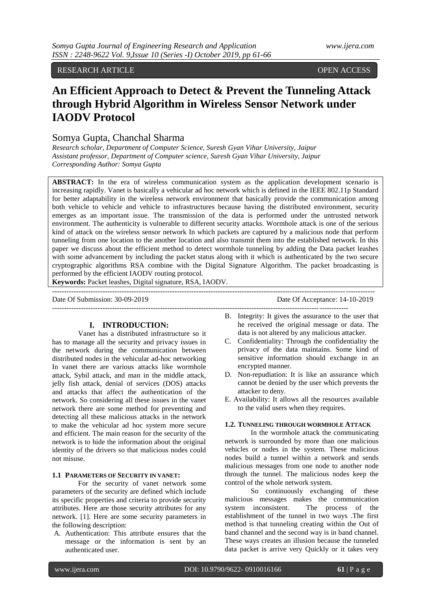RESEARCH ARTICLE **OPEN ACCESS** 

# **An Efficient Approach to Detect & Prevent the Tunneling Attack through Hybrid Algorithm in Wireless Sensor Network under IAODV Protocol**

## Somya Gupta, Chanchal Sharma

*Research scholar, Department of Computer Science, Suresh Gyan Vihar University, Jaipur Assistant professor, Department of Computer science, Suresh Gyan Vihar University, Jaipur Corresponding Author: Somya Gupta*

**ABSTRACT:** In the era of wireless communication system as the application development scenario is increasing rapidly. Vanet is basically a vehicular ad hoc network which is defined in the IEEE 802.11p Standard for better adaptability in the wireless network environment that basically provide the communication among both vehicle to vehicle and vehicle to infrastructures because having the distributed environment, security emerges as an important issue. The transmission of the data is performed under the untrusted network environment. The authenticity is vulnerable to different security attacks. Wormhole attack is one of the serious kind of attack on the wireless sensor network In which packets are captured by a malicious node that perform tunneling from one location to the another location and also transmit them into the established network. In this paper we discuss about the efficient method to detect wormhole tunneling by adding the Data packet leashes with some advancement by including the packet status along with it which is authenticated by the two secure cryptographic algorithms RSA combine with the Digital Signature Algorithm. The packet broadcasting is performed by the efficient IAODV routing protocol.

--------------------------------------------------------------------------------------------------------------------------------------

---------------------------------------------------------------------------------------------------------------------------

**Keywords:** Packet leashes, Digital signature, RSA, IAODV.

Date Of Submission: 30-09-2019 Date Of Acceptance: 14-10-2019

## **I. INTRODUCTION:**

Vanet has a distributed infrastructure so it has to manage all the security and privacy issues in the network during the communication between distributed nodes in the vehicular ad-hoc networking In vanet there are various attacks like wormhole attack, Sybil attack, and man in the middle attack, jelly fish attack, denial of services (DOS) attacks and attacks that affect the authentication of the network. So considering all these issues in the vanet network there are some method for preventing and detecting all these malicious attacks in the network to make the vehicular ad hoc system more secure and efficient. The main reason for the security of the network is to hide the information about the original identity of the drivers so that malicious nodes could not misuse.

#### **1.1 PARAMETERS OF SECURITY IN VANET:**

For the security of vanet network some parameters of the security are defined which include its specific properties and criteria to provide security attributes. Here are those security attributes for any network. [1]. Here are some security parameters in the following description:

A. Authentication: This attribute ensures that the message or the information is sent by an authenticated user.

- B. Integrity: It gives the assurance to the user that he received the original message or data. The data is not altered by any malicious attacker.
- C. Confidentiality: Through the confidentiality the privacy of the data maintains. Some kind of sensitive information should exchange in an encrypted manner.
- D. Non-repudiation: It is like an assurance which cannot be denied by the user which prevents the attacker to deny.
- E. Availability: It allows all the resources available to the valid users when they requires.

## **1.2. TUNNELING THROUGH WORMHOLE ATTACK**

In the wormhole attack the communicating network is surrounded by more than one malicious vehicles or nodes in the system. These malicious nodes build a tunnel within a network and sends malicious messages from one node to another node through the tunnel. The malicious nodes keep the control of the whole network system.

So continuously exchanging of these malicious messages makes the communication system inconsistent. The process of the establishment of the tunnel in two ways .The first method is that tunneling creating within the Out of band channel and the second way is in band channel. These ways creates an illusion because the tunneled data packet is arrive very Quickly or it takes very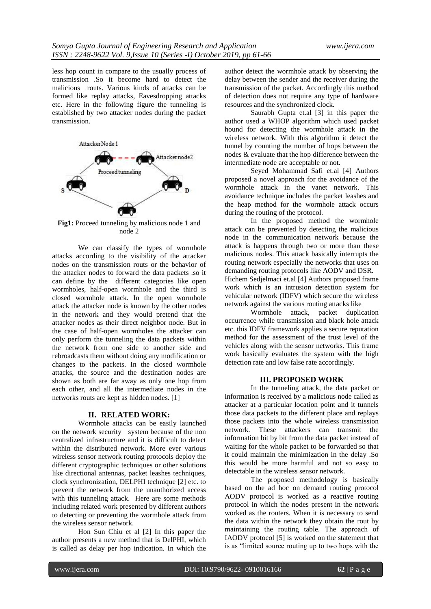less hop count in compare to the usually process of transmission .So it become hard to detect the malicious routs. Various kinds of attacks can be formed like replay attacks, Eavesdropping attacks etc. Here in the following figure the tunneling is established by two attacker nodes during the packet transmission.



**Fig1:** Proceed tunneling by malicious node 1 and node 2

We can classify the types of wormhole attacks according to the visibility of the attacker nodes on the transmission routs or the behavior of the attacker nodes to forward the data packets .so it can define by the different categories like open wormholes, half-open wormhole and the third is closed wormhole attack. In the open wormhole attack the attacker node is known by the other nodes in the network and they would pretend that the attacker nodes as their direct neighbor node. But in the case of half-open wormholes the attacker can only perform the tunneling the data packets within the network from one side to another side and rebroadcasts them without doing any modification or changes to the packets. In the closed wormhole attacks, the source and the destination nodes are shown as both are far away as only one hop from each other, and all the intermediate nodes in the networks routs are kept as hidden nodes. [1]

## **II. RELATED WORK:**

Wormhole attacks can be easily launched on the network security system because of the non centralized infrastructure and it is difficult to detect within the distributed network. More ever various wireless sensor network routing protocols deploy the different cryptographic techniques or other solutions like directional antennas, packet leashes techniques, clock synchronization, DELPHI technique [2] etc. to prevent the network from the unauthorized access with this tunneling attack. Here are some methods including related work presented by different authors to detecting or preventing the wormhole attack from the wireless sensor network.

Hon Sun Chiu et al [2] In this paper the author presents a new method that is DelPHI, which is called as delay per hop indication. In which the

author detect the wormhole attack by observing the delay between the sender and the receiver during the transmission of the packet. Accordingly this method of detection does not require any type of hardware resources and the synchronized clock.

Saurabh Gupta et.al [3] in this paper the author used a WHOP algorithm which used packet hound for detecting the wormhole attack in the wireless network. With this algorithm it detect the tunnel by counting the number of hops between the nodes & evaluate that the hop difference between the intermediate node are acceptable or not.

Seyed Mohammad Safi et.al [4] Authors proposed a novel approach for the avoidance of the wormhole attack in the vanet network. This avoidance technique includes the packet leashes and the heap method for the wormhole attack occurs during the routing of the protocol.

In the proposed method the wormhole attack can be prevented by detecting the malicious node in the communication network because the attack is happens through two or more than these malicious nodes. This attack basically interrupts the routing network especially the networks that uses on demanding routing protocols like AODV and DSR. Hichem Sedjelmaci et.al [4] Authors proposed frame work which is an intrusion detection system for vehicular network (IDFV) which secure the wireless network against the various routing attacks like

Wormhole attack, packet duplication occurrence while transmission and black hole attack etc. this IDFV framework applies a secure reputation method for the assessment of the trust level of the vehicles along with the sensor networks. This frame work basically evaluates the system with the high detection rate and low false rate accordingly.

#### **III. PROPOSED WORK**

In the tunneling attack, the data packet or information is received by a malicious node called as attacker at a particular location point and it tunnels those data packets to the different place and replays those packets into the whole wireless transmission network. These attackers can transmit the information bit by bit from the data packet instead of waiting for the whole packet to be forwarded so that it could maintain the minimization in the delay .So this would be more harmful and not so easy to detectable in the wireless sensor network.

The proposed methodology is basically based on the ad hoc on demand routing protocol AODV protocol is worked as a reactive routing protocol in which the nodes present in the network worked as the routers. When it is necessary to send the data within the network they obtain the rout by maintaining the routing table. The approach of IAODV protocol [5] is worked on the statement that is as "limited source routing up to two hops with the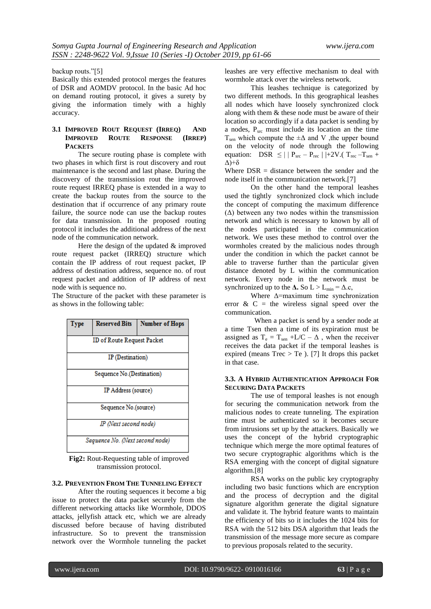backup routs."[5]

Basically this extended protocol merges the features of DSR and AOMDV protocol. In the basic Ad hoc on demand routing protocol, it gives a surety by giving the information timely with a highly accuracy.

## **3.1 IMPROVED ROUT REQUEST (IRREQ) AND IMPROVED ROUTE RESPONSE (IRREP) PACKETS**

The secure routing phase is complete with two phases in which first is rout discovery and rout maintenance is the second and last phase. During the discovery of the transmission rout the improved route request IRREQ phase is extended in a way to create the backup routes from the source to the destination that if occurrence of any primary route failure, the source node can use the backup routes for data transmission. In the proposed routing protocol it includes the additional address of the next node of the communication network.

Here the design of the updated  $&$  improved route request packet (IRREQ) structure which contain the IP address of rout request packet, IP address of destination address, sequence no. of rout request packet and addition of IP address of next node with is sequence no.

The Structure of the packet with these parameter is as shows in the following table:



**Fig2:** Rout-Requesting table of improved transmission protocol.

#### **3.2. PREVENTION FROM THE TUNNELING EFFECT**

After the routing sequences it become a big issue to protect the data packet securely from the different networking attacks like Wormhole, DDOS attacks, jellyfish attack etc, which we are already discussed before because of having distributed infrastructure. So to prevent the transmission network over the Wormhole tunneling the packet leashes are very effective mechanism to deal with wormhole attack over the wireless network.

This leashes technique is categorized by two different methods. In this geographical leashes all nodes which have loosely synchronized clock along with them & these node must be aware of their location so accordingly if a data packet is sending by a nodes,  $P_{src}$  must include its location an the time  $T_{sen}$  which compute the  $\pm \Delta$  and V , the upper bound on the velocity of node through the following equation: DSR  $\leq$  | | P<sub>src</sub> – P<sub>rec</sub> | |+2V.( T<sub>rec</sub> –T<sub>sen</sub> + Δ)+δ

Where  $DSR = distance$  between the sender and the node itself in the communication network.[7]

On the other hand the temporal leashes used the tightly synchronized clock which include the concept of computing the maximum difference  $(\Delta)$  between any two nodes within the transmission network and which is necessary to known by all of the nodes participated in the communication network. We uses these method to control over the wormholes created by the malicious nodes through under the condition in which the packet cannot be able to traverse further than the particular given distance denoted by L within the communication network. Every node in the network must be synchronized up to the  $\Delta$ . So  $L > L_{min} = \Delta$ .c,

Where Δ=maximum time synchronization error  $\&$  C = the wireless signal speed over the communication.

 When a packet is send by a sender node at a time Tsen then a time of its expiration must be assigned as  $T_e = T_{sen} + L/C - \Delta$ , when the receiver receives the data packet if the temporal leashes is expired (means  $Trec > Te$  ). [7] It drops this packet in that case.

## **3.3. A HYBRID AUTHENTICATION APPROACH FOR SECURING DATA PACKETS**

The use of temporal leashes is not enough for securing the communication network from the malicious nodes to create tunneling. The expiration time must be authenticated so it becomes secure from intrusions set up by the attackers. Basically we uses the concept of the hybrid cryptographic technique which merge the more optimal features of two secure cryptographic algorithms which is the RSA emerging with the concept of digital signature algorithm.[8]

RSA works on the public key cryptography including two basic functions which are encryption and the process of decryption and the digital signature algorithm generate the digital signature and validate it. The hybrid feature wants to maintain the efficiency of bits so it includes the 1024 bits for RSA with the 512 bits DSA algorithm that leads the transmission of the message more secure as compare to previous proposals related to the security.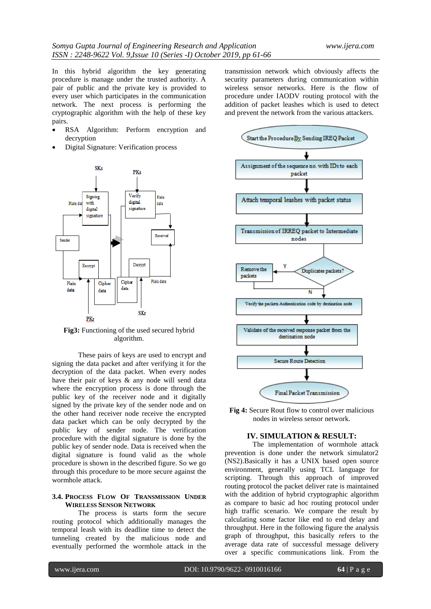In this hybrid algorithm the key generating procedure is manage under the trusted authority. A pair of public and the private key is provided to every user which participates in the communication network. The next process is performing the cryptographic algorithm with the help of these key pairs.

- RSA Algorithm: Perform encryption and decryption
- Digital Signature: Verification process



**Fig3:** Functioning of the used secured hybrid algorithm.

These pairs of keys are used to encrypt and signing the data packet and after verifying it for the decryption of the data packet. When every nodes have their pair of keys & any node will send data where the encryption process is done through the public key of the receiver node and it digitally signed by the private key of the sender node and on the other hand receiver node receive the encrypted data packet which can be only decrypted by the public key of sender node. The verification procedure with the digital signature is done by the public key of sender node. Data is received when the digital signature is found valid as the whole procedure is shown in the described figure. So we go through this procedure to be more secure against the wormhole attack.

## **3.4. PROCESS FLOW OF TRANSMISSION UNDER WIRELESS SENSOR NETWORK**

The process is starts form the secure routing protocol which additionally manages the temporal leash with its deadline time to detect the tunneling created by the malicious node and eventually performed the wormhole attack in the transmission network which obviously affects the security parameters during communication within wireless sensor networks. Here is the flow of procedure under IAODV routing protocol with the addition of packet leashes which is used to detect and prevent the network from the various attackers.



**Fig 4:** Secure Rout flow to control over malicious nodes in wireless sensor network.

#### **IV. SIMULATION & RESULT:**

The implementation of wormhole attack prevention is done under the network simulator2 (NS2).Basically it has a UNIX based open source environment, generally using TCL language for scripting. Through this approach of improved routing protocol the packet deliver rate is maintained with the addition of hybrid cryptographic algorithm as compare to basic ad hoc routing protocol under high traffic scenario. We compare the result by calculating some factor like end to end delay and throughput. Here in the following figure the analysis graph of throughput, this basically refers to the average data rate of successful message delivery over a specific communications link. From the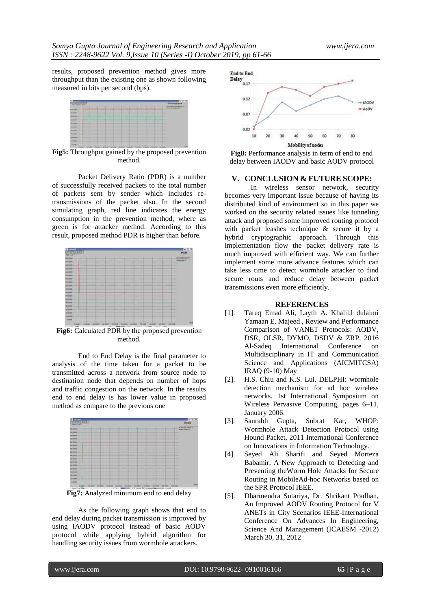results, proposed prevention method gives more throughput than the existing one as shown following measured in bits per second (bps).



**Fig5:** Throughput gained by the proposed prevention method.

Packet Delivery Ratio (PDR) is a number of successfully received packets to the total number of packets sent by sender which includes retransmissions of the packet also. In the second simulating graph, red line indicates the energy consumption in the prevention method, where as green is for attacker method. According to this result, proposed method PDR is higher than before.



**Fig6:** Calculated PDR by the proposed prevention method.

End to End Delay is the final parameter to analysis of the time taken for a packet to be transmitted across a network from source node to destination node that depends on number of hops and traffic congestion on the network. In the results end to end delay is has lower value in proposed method as compare to the previous one



**Fig7:** Analyzed minimum end to end delay

As the following graph shows that end to end delay during packet transmission is improved by using IAODV protocol instead of basic AODV protocol while applying hybrid algorithm for handling security issues from wormhole attackers.



**Fig8:** Performance analysis in term of end to end delay between IAODV and basic AODV protocol

## **V. CONCLUSION & FUTURE SCOPE:**

In wireless sensor network, security becomes very important issue because of having its distributed kind of environment so in this paper we worked on the security related issues like tunneling attack and proposed some improved routing protocol with packet leashes technique & secure it by a hybrid cryptographic approach. Through this implementation flow the packet delivery rate is much improved with efficient way. We can further implement some more advance features which can take less time to detect wormhole attacker to find secure routs and reduce delay between packet transmissions even more efficiently.

#### **REFERENCES**

- [1]. Tareq Emad Ali, Layth A. Khalil,l dulaimi Yamaan E. Majeed , Review and Performance Comparison of VANET Protocols: AODV, DSR, OLSR, DYMO, DSDV & ZRP, 2016 Al-Sadeq International Conference on Multidisciplinary in IT and Communication Science and Applications (AICMITCSA) IRAQ (9-10) May
- [2]. H.S. Chiu and K.S. Lui. DELPHI: wormhole detection mechanism for ad hoc wireless networks. 1st International Symposium on Wireless Pervasive Computing, pages 6–11, January 2006.
- [3]. Saurabh Gupta, Subrat Kar, WHOP: Wormhole Attack Detection Protocol using Hound Packet, 2011 International Conference on Innovations in Information Technology.
- [4]. Seyed Ali Sharifi and Seyed Morteza Babamir, A New Approach to Detecting and Preventing theWorm Hole Attacks for Secure Routing in MobileAd-hoc Networks based on the SPR Protocol IEEE.
- [5]. Dharmendra Sutariya, Dr. Shrikant Pradhan, An Improved AODV Routing Protocol for V ANETs in City Scenarios IEEE-International Conference On Advances In Engineering, Science And Management (ICAESM -2012) March 30, 31, 2012